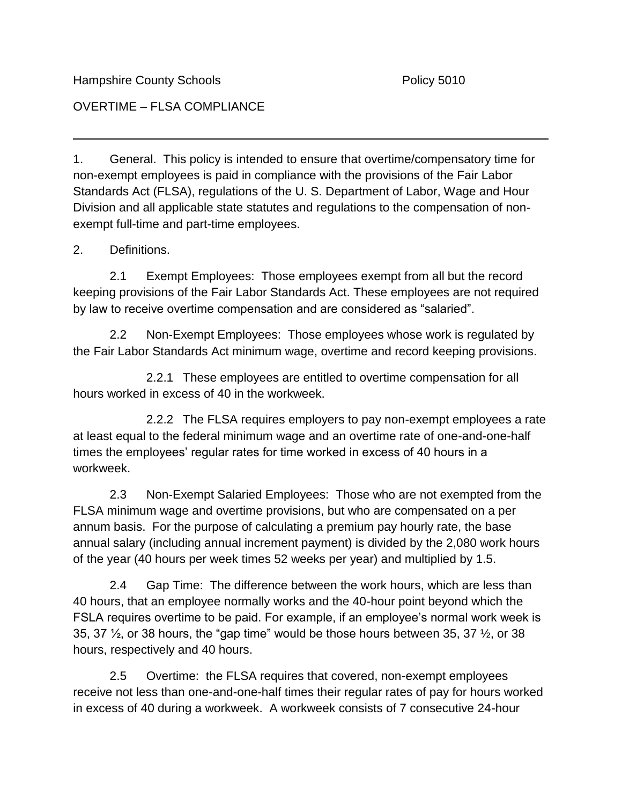Hampshire County Schools **Policy 5010** Policy 5010

## OVERTIME – FLSA COMPLIANCE

1. General. This policy is intended to ensure that overtime/compensatory time for non-exempt employees is paid in compliance with the provisions of the Fair Labor Standards Act (FLSA), regulations of the U. S. Department of Labor, Wage and Hour Division and all applicable state statutes and regulations to the compensation of nonexempt full-time and part-time employees.

## 2. Definitions.

2.1 Exempt Employees: Those employees exempt from all but the record keeping provisions of the Fair Labor Standards Act. These employees are not required by law to receive overtime compensation and are considered as "salaried".

2.2 Non-Exempt Employees: Those employees whose work is regulated by the Fair Labor Standards Act minimum wage, overtime and record keeping provisions.

2.2.1 These employees are entitled to overtime compensation for all hours worked in excess of 40 in the workweek.

2.2.2 The FLSA requires employers to pay non-exempt employees a rate at least equal to the federal minimum wage and an overtime rate of one-and-one-half times the employees' regular rates for time worked in excess of 40 hours in a workweek.

2.3 Non-Exempt Salaried Employees: Those who are not exempted from the FLSA minimum wage and overtime provisions, but who are compensated on a per annum basis. For the purpose of calculating a premium pay hourly rate, the base annual salary (including annual increment payment) is divided by the 2,080 work hours of the year (40 hours per week times 52 weeks per year) and multiplied by 1.5.

2.4 Gap Time: The difference between the work hours, which are less than 40 hours, that an employee normally works and the 40-hour point beyond which the FSLA requires overtime to be paid. For example, if an employee's normal work week is 35, 37 ½, or 38 hours, the "gap time" would be those hours between 35, 37 ½, or 38 hours, respectively and 40 hours.

2.5 Overtime: the FLSA requires that covered, non-exempt employees receive not less than one-and-one-half times their regular rates of pay for hours worked in excess of 40 during a workweek. A workweek consists of 7 consecutive 24-hour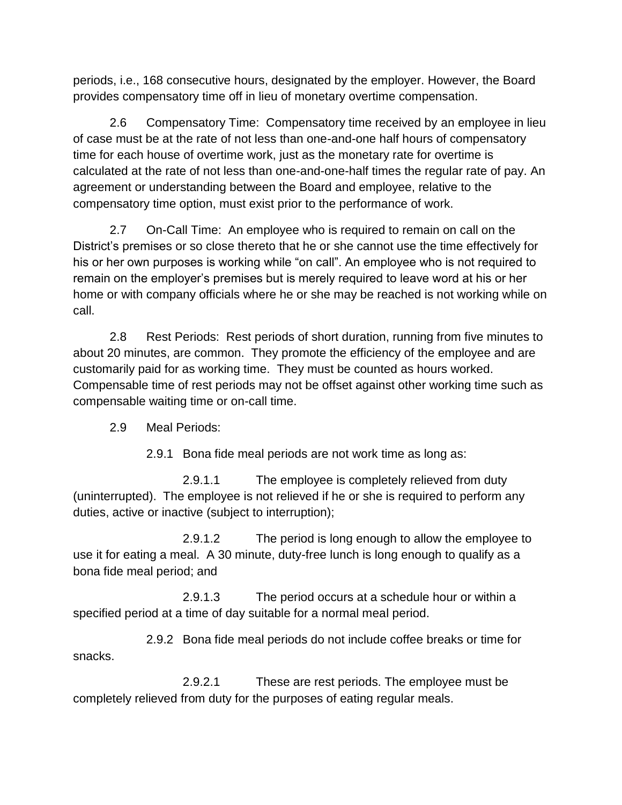periods, i.e., 168 consecutive hours, designated by the employer. However, the Board provides compensatory time off in lieu of monetary overtime compensation.

2.6 Compensatory Time: Compensatory time received by an employee in lieu of case must be at the rate of not less than one-and-one half hours of compensatory time for each house of overtime work, just as the monetary rate for overtime is calculated at the rate of not less than one-and-one-half times the regular rate of pay. An agreement or understanding between the Board and employee, relative to the compensatory time option, must exist prior to the performance of work.

2.7 On-Call Time: An employee who is required to remain on call on the District's premises or so close thereto that he or she cannot use the time effectively for his or her own purposes is working while "on call". An employee who is not required to remain on the employer's premises but is merely required to leave word at his or her home or with company officials where he or she may be reached is not working while on call.

2.8 Rest Periods: Rest periods of short duration, running from five minutes to about 20 minutes, are common. They promote the efficiency of the employee and are customarily paid for as working time. They must be counted as hours worked. Compensable time of rest periods may not be offset against other working time such as compensable waiting time or on-call time.

2.9 Meal Periods:

2.9.1 Bona fide meal periods are not work time as long as:

2.9.1.1 The employee is completely relieved from duty (uninterrupted). The employee is not relieved if he or she is required to perform any duties, active or inactive (subject to interruption);

2.9.1.2 The period is long enough to allow the employee to use it for eating a meal. A 30 minute, duty-free lunch is long enough to qualify as a bona fide meal period; and

2.9.1.3 The period occurs at a schedule hour or within a specified period at a time of day suitable for a normal meal period.

2.9.2 Bona fide meal periods do not include coffee breaks or time for snacks.

2.9.2.1 These are rest periods. The employee must be completely relieved from duty for the purposes of eating regular meals.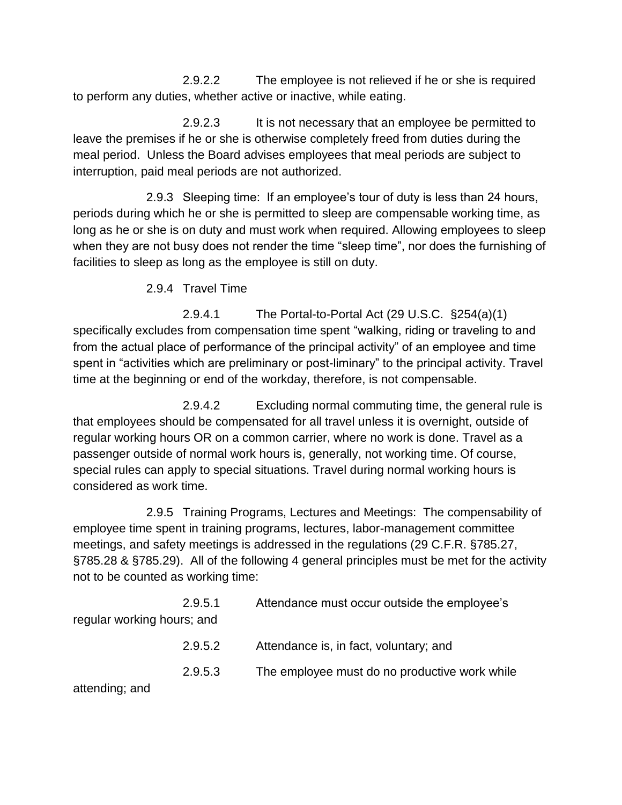2.9.2.2 The employee is not relieved if he or she is required to perform any duties, whether active or inactive, while eating.

2.9.2.3 It is not necessary that an employee be permitted to leave the premises if he or she is otherwise completely freed from duties during the meal period. Unless the Board advises employees that meal periods are subject to interruption, paid meal periods are not authorized.

2.9.3 Sleeping time: If an employee's tour of duty is less than 24 hours, periods during which he or she is permitted to sleep are compensable working time, as long as he or she is on duty and must work when required. Allowing employees to sleep when they are not busy does not render the time "sleep time", nor does the furnishing of facilities to sleep as long as the employee is still on duty.

2.9.4 Travel Time

2.9.4.1 The Portal-to-Portal Act (29 U.S.C. §254(a)(1) specifically excludes from compensation time spent "walking, riding or traveling to and from the actual place of performance of the principal activity" of an employee and time spent in "activities which are preliminary or post-liminary" to the principal activity. Travel time at the beginning or end of the workday, therefore, is not compensable.

2.9.4.2 Excluding normal commuting time, the general rule is that employees should be compensated for all travel unless it is overnight, outside of regular working hours OR on a common carrier, where no work is done. Travel as a passenger outside of normal work hours is, generally, not working time. Of course, special rules can apply to special situations. Travel during normal working hours is considered as work time.

2.9.5 Training Programs, Lectures and Meetings: The compensability of employee time spent in training programs, lectures, labor-management committee meetings, and safety meetings is addressed in the regulations (29 C.F.R. §785.27, §785.28 & §785.29). All of the following 4 general principles must be met for the activity not to be counted as working time:

| regular working hours; and | 2.9.5.1 | Attendance must occur outside the employee's  |
|----------------------------|---------|-----------------------------------------------|
|                            | 2.9.5.2 | Attendance is, in fact, voluntary; and        |
| attending; and             | 2.9.5.3 | The employee must do no productive work while |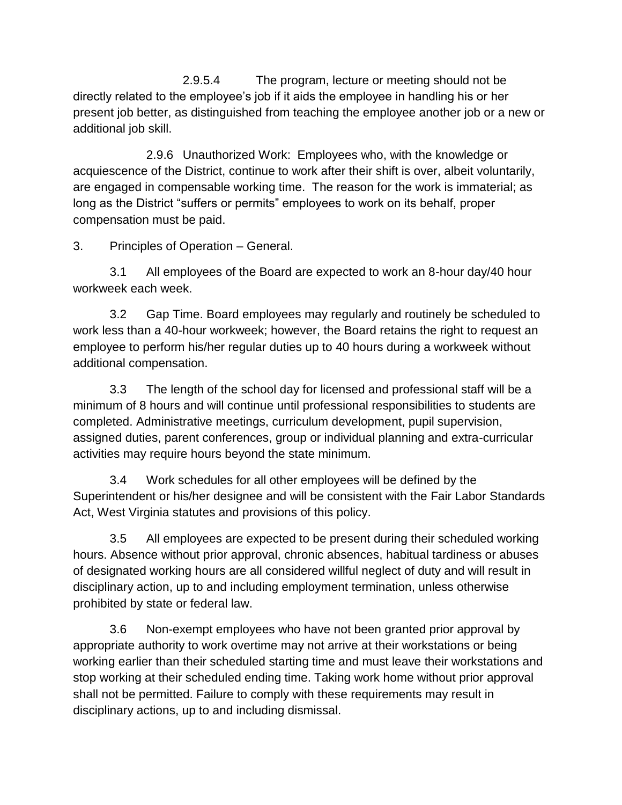2.9.5.4 The program, lecture or meeting should not be directly related to the employee's job if it aids the employee in handling his or her present job better, as distinguished from teaching the employee another job or a new or additional job skill.

2.9.6 Unauthorized Work: Employees who, with the knowledge or acquiescence of the District, continue to work after their shift is over, albeit voluntarily, are engaged in compensable working time. The reason for the work is immaterial; as long as the District "suffers or permits" employees to work on its behalf, proper compensation must be paid.

3. Principles of Operation – General.

3.1 All employees of the Board are expected to work an 8-hour day/40 hour workweek each week.

3.2 Gap Time. Board employees may regularly and routinely be scheduled to work less than a 40-hour workweek; however, the Board retains the right to request an employee to perform his/her regular duties up to 40 hours during a workweek without additional compensation.

3.3 The length of the school day for licensed and professional staff will be a minimum of 8 hours and will continue until professional responsibilities to students are completed. Administrative meetings, curriculum development, pupil supervision, assigned duties, parent conferences, group or individual planning and extra-curricular activities may require hours beyond the state minimum.

3.4 Work schedules for all other employees will be defined by the Superintendent or his/her designee and will be consistent with the Fair Labor Standards Act, West Virginia statutes and provisions of this policy.

3.5 All employees are expected to be present during their scheduled working hours. Absence without prior approval, chronic absences, habitual tardiness or abuses of designated working hours are all considered willful neglect of duty and will result in disciplinary action, up to and including employment termination, unless otherwise prohibited by state or federal law.

3.6 Non-exempt employees who have not been granted prior approval by appropriate authority to work overtime may not arrive at their workstations or being working earlier than their scheduled starting time and must leave their workstations and stop working at their scheduled ending time. Taking work home without prior approval shall not be permitted. Failure to comply with these requirements may result in disciplinary actions, up to and including dismissal.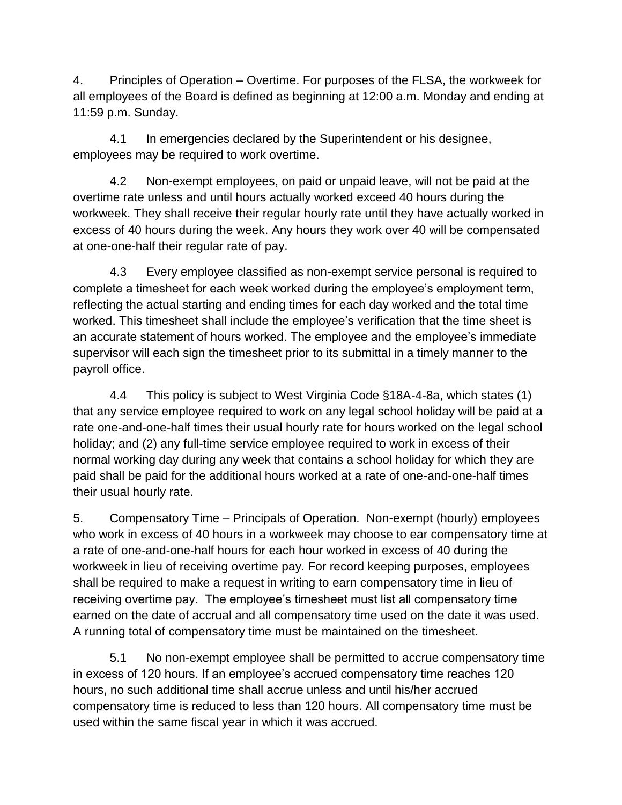4. Principles of Operation – Overtime. For purposes of the FLSA, the workweek for all employees of the Board is defined as beginning at 12:00 a.m. Monday and ending at 11:59 p.m. Sunday.

4.1 In emergencies declared by the Superintendent or his designee, employees may be required to work overtime.

4.2 Non-exempt employees, on paid or unpaid leave, will not be paid at the overtime rate unless and until hours actually worked exceed 40 hours during the workweek. They shall receive their regular hourly rate until they have actually worked in excess of 40 hours during the week. Any hours they work over 40 will be compensated at one-one-half their regular rate of pay.

4.3 Every employee classified as non-exempt service personal is required to complete a timesheet for each week worked during the employee's employment term, reflecting the actual starting and ending times for each day worked and the total time worked. This timesheet shall include the employee's verification that the time sheet is an accurate statement of hours worked. The employee and the employee's immediate supervisor will each sign the timesheet prior to its submittal in a timely manner to the payroll office.

4.4 This policy is subject to West Virginia Code §18A-4-8a, which states (1) that any service employee required to work on any legal school holiday will be paid at a rate one-and-one-half times their usual hourly rate for hours worked on the legal school holiday; and (2) any full-time service employee required to work in excess of their normal working day during any week that contains a school holiday for which they are paid shall be paid for the additional hours worked at a rate of one-and-one-half times their usual hourly rate.

5. Compensatory Time – Principals of Operation. Non-exempt (hourly) employees who work in excess of 40 hours in a workweek may choose to ear compensatory time at a rate of one-and-one-half hours for each hour worked in excess of 40 during the workweek in lieu of receiving overtime pay. For record keeping purposes, employees shall be required to make a request in writing to earn compensatory time in lieu of receiving overtime pay. The employee's timesheet must list all compensatory time earned on the date of accrual and all compensatory time used on the date it was used. A running total of compensatory time must be maintained on the timesheet.

5.1 No non-exempt employee shall be permitted to accrue compensatory time in excess of 120 hours. If an employee's accrued compensatory time reaches 120 hours, no such additional time shall accrue unless and until his/her accrued compensatory time is reduced to less than 120 hours. All compensatory time must be used within the same fiscal year in which it was accrued.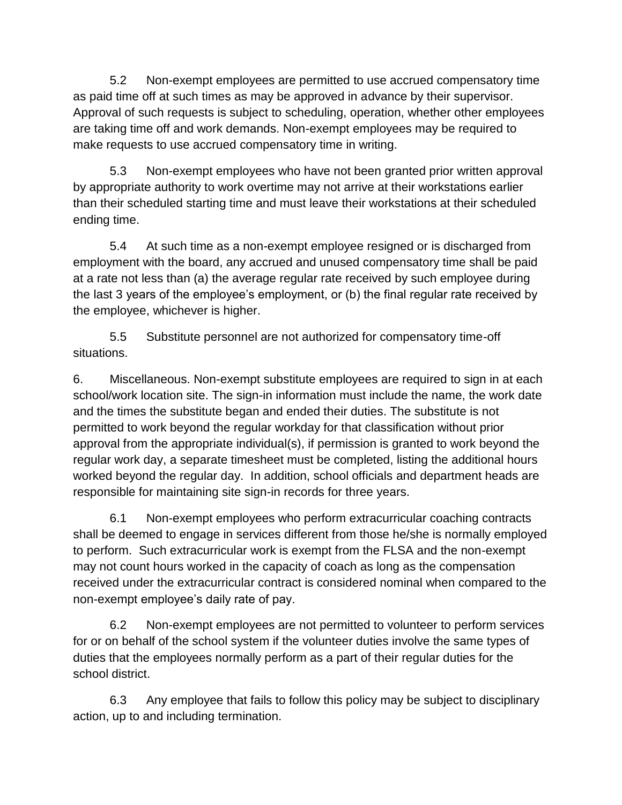5.2 Non-exempt employees are permitted to use accrued compensatory time as paid time off at such times as may be approved in advance by their supervisor. Approval of such requests is subject to scheduling, operation, whether other employees are taking time off and work demands. Non-exempt employees may be required to make requests to use accrued compensatory time in writing.

5.3 Non-exempt employees who have not been granted prior written approval by appropriate authority to work overtime may not arrive at their workstations earlier than their scheduled starting time and must leave their workstations at their scheduled ending time.

5.4 At such time as a non-exempt employee resigned or is discharged from employment with the board, any accrued and unused compensatory time shall be paid at a rate not less than (a) the average regular rate received by such employee during the last 3 years of the employee's employment, or (b) the final regular rate received by the employee, whichever is higher.

5.5 Substitute personnel are not authorized for compensatory time-off situations.

6. Miscellaneous. Non-exempt substitute employees are required to sign in at each school/work location site. The sign-in information must include the name, the work date and the times the substitute began and ended their duties. The substitute is not permitted to work beyond the regular workday for that classification without prior approval from the appropriate individual(s), if permission is granted to work beyond the regular work day, a separate timesheet must be completed, listing the additional hours worked beyond the regular day. In addition, school officials and department heads are responsible for maintaining site sign-in records for three years.

6.1 Non-exempt employees who perform extracurricular coaching contracts shall be deemed to engage in services different from those he/she is normally employed to perform. Such extracurricular work is exempt from the FLSA and the non-exempt may not count hours worked in the capacity of coach as long as the compensation received under the extracurricular contract is considered nominal when compared to the non-exempt employee's daily rate of pay.

6.2 Non-exempt employees are not permitted to volunteer to perform services for or on behalf of the school system if the volunteer duties involve the same types of duties that the employees normally perform as a part of their regular duties for the school district.

6.3 Any employee that fails to follow this policy may be subject to disciplinary action, up to and including termination.